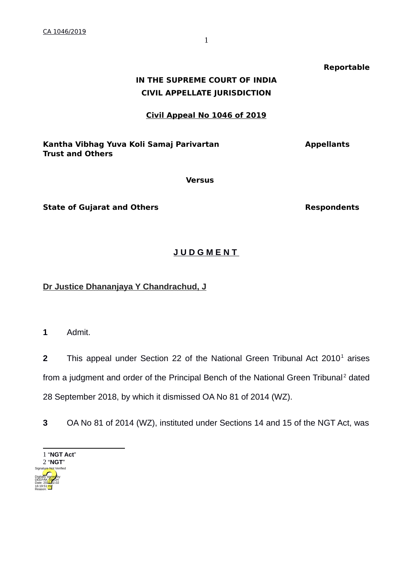# **IN THE SUPREME COURT OF INDIA CIVIL APPELLATE JURISDICTION**

#### **Civil Appeal No 1046 of 2019**

#### Kantha Vibhag Yuva Koli Samaj Parivartan **Angkaratan Kantha Yibhag Yuva** Koli Samaj Parivartan **Trust and Others**

**Versus**

**State of Gujarat and Others <b>Respondents** Respondents

## **J U D G M E N T**

**Dr Justice Dhananjaya Y Chandrachud, J**

**1** Admit.

**2** This appeal under Section 22 of the National Green Tribunal Act 20[1](#page-0-0)0<sup>1</sup> arises from a judgment and order of the Principal Bench of the National Green Tribunal<sup>[2](#page-0-1)</sup> dated 28 September 2018, by which it dismissed OA No 81 of 2014 (WZ).

**3** OA No 81 of 2014 (WZ), instituted under Sections 14 and 15 of the NGT Act, was

<span id="page-0-1"></span><span id="page-0-0"></span>

**Reportable**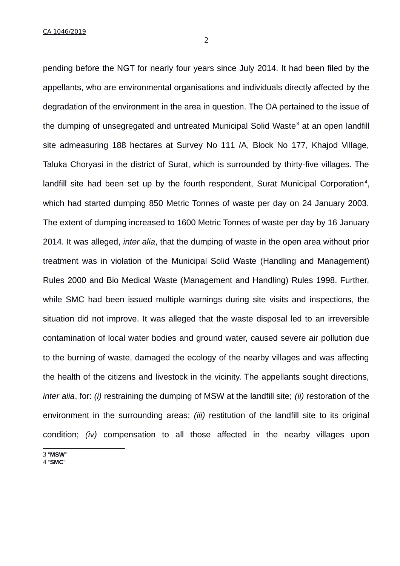CA 1046/2019

2

pending before the NGT for nearly four years since July 2014. It had been filed by the appellants, who are environmental organisations and individuals directly affected by the degradation of the environment in the area in question. The OA pertained to the issue of the dumping of unsegregated and untreated Municipal Solid Waste<sup>[3](#page-1-0)</sup> at an open landfill site admeasuring 188 hectares at Survey No 111 /A, Block No 177, Khajod Village, Taluka Choryasi in the district of Surat, which is surrounded by thirty-five villages. The landfill site had been set up by the fourth respondent, Surat Municipal Corporation<sup>[4](#page-1-1)</sup>, which had started dumping 850 Metric Tonnes of waste per day on 24 January 2003. The extent of dumping increased to 1600 Metric Tonnes of waste per day by 16 January 2014. It was alleged, *inter alia*, that the dumping of waste in the open area without prior treatment was in violation of the Municipal Solid Waste (Handling and Management) Rules 2000 and Bio Medical Waste (Management and Handling) Rules 1998. Further, while SMC had been issued multiple warnings during site visits and inspections, the situation did not improve. It was alleged that the waste disposal led to an irreversible contamination of local water bodies and ground water, caused severe air pollution due to the burning of waste, damaged the ecology of the nearby villages and was affecting the health of the citizens and livestock in the vicinity. The appellants sought directions, *inter alia*, for: *(i)* restraining the dumping of MSW at the landfill site; *(ii)* restoration of the environment in the surrounding areas; *(iii)* restitution of the landfill site to its original condition; *(iv)* compensation to all those affected in the nearby villages upon

<span id="page-1-0"></span>3 "**MSW**"

<span id="page-1-1"></span>4 "**SMC**"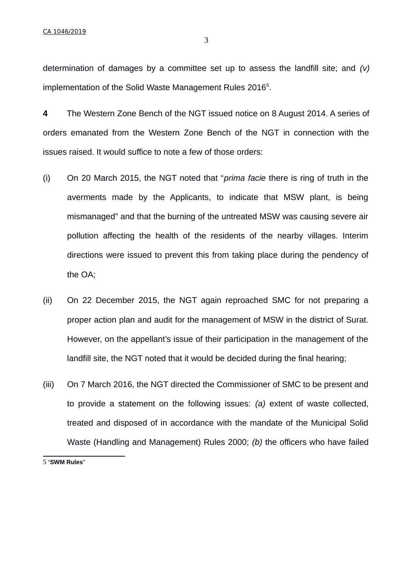determination of damages by a committee set up to assess the landfill site; and *(v)* implementation of the Solid Waste Management Rules 2016<sup>[5](#page-2-0)</sup>.

**4** The Western Zone Bench of the NGT issued notice on 8 August 2014. A series of orders emanated from the Western Zone Bench of the NGT in connection with the issues raised. It would suffice to note a few of those orders:

- (i) On 20 March 2015, the NGT noted that "*prima facie* there is ring of truth in the averments made by the Applicants, to indicate that MSW plant, is being mismanaged" and that the burning of the untreated MSW was causing severe air pollution affecting the health of the residents of the nearby villages. Interim directions were issued to prevent this from taking place during the pendency of the OA;
- (ii) On 22 December 2015, the NGT again reproached SMC for not preparing a proper action plan and audit for the management of MSW in the district of Surat. However, on the appellant's issue of their participation in the management of the landfill site, the NGT noted that it would be decided during the final hearing;
- (iii) On 7 March 2016, the NGT directed the Commissioner of SMC to be present and to provide a statement on the following issues: *(a)* extent of waste collected, treated and disposed of in accordance with the mandate of the Municipal Solid Waste (Handling and Management) Rules 2000; *(b)* the officers who have failed

<span id="page-2-0"></span>5 "**SWM Rules**"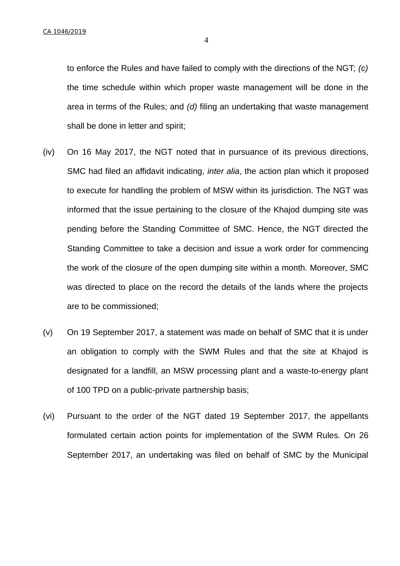to enforce the Rules and have failed to comply with the directions of the NGT; *(c)* the time schedule within which proper waste management will be done in the area in terms of the Rules; and *(d)* filing an undertaking that waste management shall be done in letter and spirit;

- (iv) On 16 May 2017, the NGT noted that in pursuance of its previous directions, SMC had filed an affidavit indicating, *inter alia*, the action plan which it proposed to execute for handling the problem of MSW within its jurisdiction. The NGT was informed that the issue pertaining to the closure of the Khajod dumping site was pending before the Standing Committee of SMC. Hence, the NGT directed the Standing Committee to take a decision and issue a work order for commencing the work of the closure of the open dumping site within a month. Moreover, SMC was directed to place on the record the details of the lands where the projects are to be commissioned;
- (v) On 19 September 2017, a statement was made on behalf of SMC that it is under an obligation to comply with the SWM Rules and that the site at Khajod is designated for a landfill, an MSW processing plant and a waste-to-energy plant of 100 TPD on a public-private partnership basis;
- (vi) Pursuant to the order of the NGT dated 19 September 2017, the appellants formulated certain action points for implementation of the SWM Rules. On 26 September 2017, an undertaking was filed on behalf of SMC by the Municipal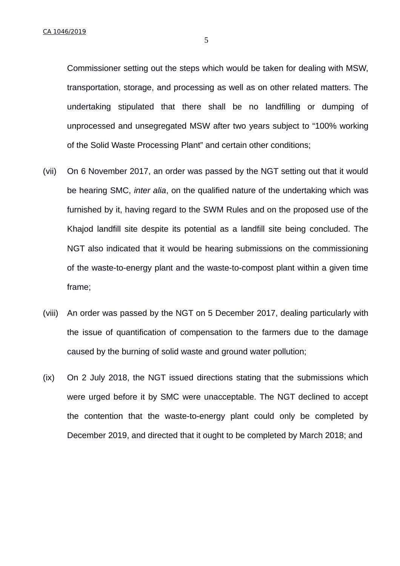Commissioner setting out the steps which would be taken for dealing with MSW, transportation, storage, and processing as well as on other related matters. The undertaking stipulated that there shall be no landfilling or dumping of unprocessed and unsegregated MSW after two years subject to "100% working of the Solid Waste Processing Plant" and certain other conditions;

- (vii) On 6 November 2017, an order was passed by the NGT setting out that it would be hearing SMC, *inter alia*, on the qualified nature of the undertaking which was furnished by it, having regard to the SWM Rules and on the proposed use of the Khajod landfill site despite its potential as a landfill site being concluded. The NGT also indicated that it would be hearing submissions on the commissioning of the waste-to-energy plant and the waste-to-compost plant within a given time frame;
- (viii) An order was passed by the NGT on 5 December 2017, dealing particularly with the issue of quantification of compensation to the farmers due to the damage caused by the burning of solid waste and ground water pollution;
- (ix) On 2 July 2018, the NGT issued directions stating that the submissions which were urged before it by SMC were unacceptable. The NGT declined to accept the contention that the waste-to-energy plant could only be completed by December 2019, and directed that it ought to be completed by March 2018; and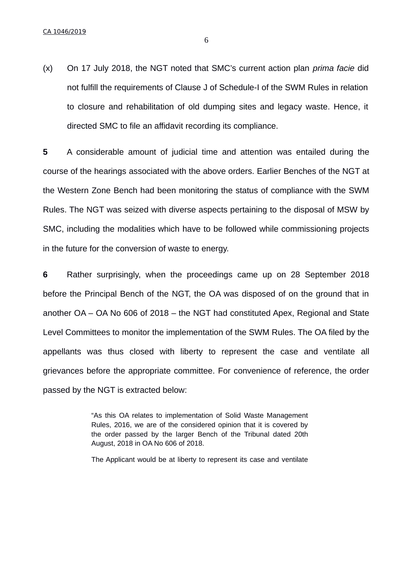(x) On 17 July 2018, the NGT noted that SMC's current action plan *prima facie* did not fulfill the requirements of Clause J of Schedule-I of the SWM Rules in relation to closure and rehabilitation of old dumping sites and legacy waste. Hence, it directed SMC to file an affidavit recording its compliance.

**5** A considerable amount of judicial time and attention was entailed during the course of the hearings associated with the above orders. Earlier Benches of the NGT at the Western Zone Bench had been monitoring the status of compliance with the SWM Rules. The NGT was seized with diverse aspects pertaining to the disposal of MSW by SMC, including the modalities which have to be followed while commissioning projects in the future for the conversion of waste to energy.

**6** Rather surprisingly, when the proceedings came up on 28 September 2018 before the Principal Bench of the NGT, the OA was disposed of on the ground that in another OA – OA No 606 of 2018 – the NGT had constituted Apex, Regional and State Level Committees to monitor the implementation of the SWM Rules. The OA filed by the appellants was thus closed with liberty to represent the case and ventilate all grievances before the appropriate committee. For convenience of reference, the order passed by the NGT is extracted below:

> "As this OA relates to implementation of Solid Waste Management Rules, 2016, we are of the considered opinion that it is covered by the order passed by the larger Bench of the Tribunal dated 20th August, 2018 in OA No 606 of 2018.

> The Applicant would be at liberty to represent its case and ventilate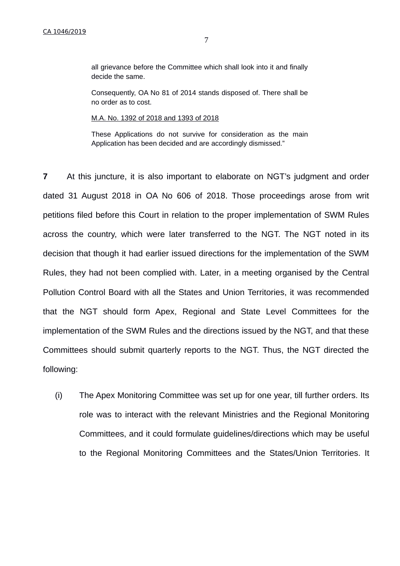all grievance before the Committee which shall look into it and finally decide the same.

Consequently, OA No 81 of 2014 stands disposed of. There shall be no order as to cost.

M.A. No. 1392 of 2018 and 1393 of 2018

These Applications do not survive for consideration as the main Application has been decided and are accordingly dismissed."

**7** At this juncture, it is also important to elaborate on NGT's judgment and order dated 31 August 2018 in OA No 606 of 2018. Those proceedings arose from writ petitions filed before this Court in relation to the proper implementation of SWM Rules across the country, which were later transferred to the NGT. The NGT noted in its decision that though it had earlier issued directions for the implementation of the SWM Rules, they had not been complied with. Later, in a meeting organised by the Central Pollution Control Board with all the States and Union Territories, it was recommended that the NGT should form Apex, Regional and State Level Committees for the implementation of the SWM Rules and the directions issued by the NGT, and that these Committees should submit quarterly reports to the NGT. Thus, the NGT directed the following:

(i) The Apex Monitoring Committee was set up for one year, till further orders. Its role was to interact with the relevant Ministries and the Regional Monitoring Committees, and it could formulate guidelines/directions which may be useful to the Regional Monitoring Committees and the States/Union Territories. It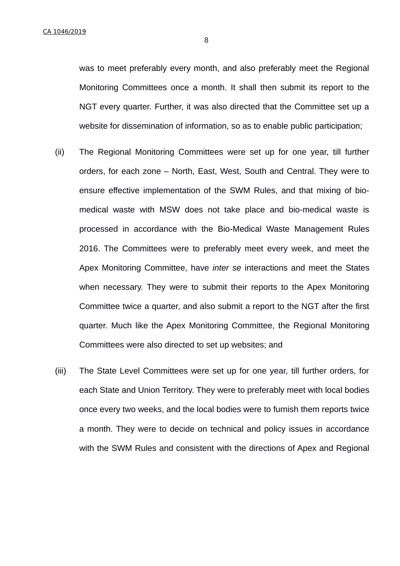was to meet preferably every month, and also preferably meet the Regional Monitoring Committees once a month. It shall then submit its report to the NGT every quarter. Further, it was also directed that the Committee set up a website for dissemination of information, so as to enable public participation;

- (ii) The Regional Monitoring Committees were set up for one year, till further orders, for each zone – North, East, West, South and Central. They were to ensure effective implementation of the SWM Rules, and that mixing of biomedical waste with MSW does not take place and bio-medical waste is processed in accordance with the Bio-Medical Waste Management Rules 2016. The Committees were to preferably meet every week, and meet the Apex Monitoring Committee, have *inter se* interactions and meet the States when necessary. They were to submit their reports to the Apex Monitoring Committee twice a quarter, and also submit a report to the NGT after the first quarter. Much like the Apex Monitoring Committee, the Regional Monitoring Committees were also directed to set up websites; and
- (iii) The State Level Committees were set up for one year, till further orders, for each State and Union Territory. They were to preferably meet with local bodies once every two weeks, and the local bodies were to furnish them reports twice a month. They were to decide on technical and policy issues in accordance with the SWM Rules and consistent with the directions of Apex and Regional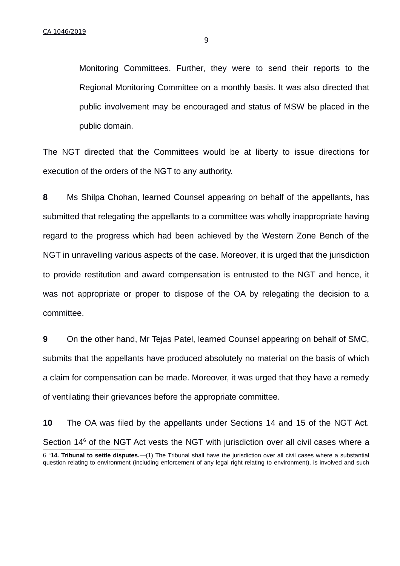9

Monitoring Committees. Further, they were to send their reports to the Regional Monitoring Committee on a monthly basis. It was also directed that public involvement may be encouraged and status of MSW be placed in the public domain.

The NGT directed that the Committees would be at liberty to issue directions for execution of the orders of the NGT to any authority.

**8** Ms Shilpa Chohan, learned Counsel appearing on behalf of the appellants, has submitted that relegating the appellants to a committee was wholly inappropriate having regard to the progress which had been achieved by the Western Zone Bench of the NGT in unravelling various aspects of the case. Moreover, it is urged that the jurisdiction to provide restitution and award compensation is entrusted to the NGT and hence, it was not appropriate or proper to dispose of the OA by relegating the decision to a committee.

**9** On the other hand, Mr Tejas Patel, learned Counsel appearing on behalf of SMC, submits that the appellants have produced absolutely no material on the basis of which a claim for compensation can be made. Moreover, it was urged that they have a remedy of ventilating their grievances before the appropriate committee.

<span id="page-8-0"></span>**10** The OA was filed by the appellants under Sections 14 and 15 of the NGT Act. Section 14<sup>[6](#page-8-0)</sup> of the NGT Act vests the NGT with jurisdiction over all civil cases where a 6 "**14. Tribunal to settle disputes.**—(1) The Tribunal shall have the jurisdiction over all civil cases where a substantial question relating to environment (including enforcement of any legal right relating to environment), is involved and such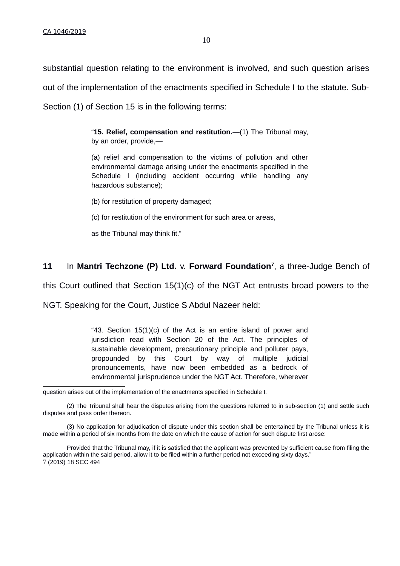substantial question relating to the environment is involved, and such question arises out of the implementation of the enactments specified in Schedule I to the statute. Sub-Section (1) of Section 15 is in the following terms:

> "**15. Relief, compensation and restitution.**—(1) The Tribunal may, by an order, provide,—

> (a) relief and compensation to the victims of pollution and other environmental damage arising under the enactments specified in the Schedule I (including accident occurring while handling any hazardous substance);

- (b) for restitution of property damaged;
- (c) for restitution of the environment for such area or areas,
- as the Tribunal may think fit."

### **11** In **Mantri Techzone (P) Ltd.** v. **Forward Foundation[7](#page-9-0)** , a three-Judge Bench of

this Court outlined that Section 15(1)(c) of the NGT Act entrusts broad powers to the

NGT. Speaking for the Court, Justice S Abdul Nazeer held:

"43. Section 15(1)(c) of the Act is an entire island of power and jurisdiction read with Section 20 of the Act. The principles of sustainable development, precautionary principle and polluter pays, propounded by this Court by way of multiple judicial pronouncements, have now been embedded as a bedrock of environmental jurisprudence under the NGT Act. Therefore, wherever

question arises out of the implementation of the enactments specified in Schedule I.

<sup>(2)</sup> The Tribunal shall hear the disputes arising from the questions referred to in sub-section (1) and settle such disputes and pass order thereon.

<sup>(3)</sup> No application for adjudication of dispute under this section shall be entertained by the Tribunal unless it is made within a period of six months from the date on which the cause of action for such dispute first arose:

<span id="page-9-0"></span>Provided that the Tribunal may, if it is satisfied that the applicant was prevented by sufficient cause from filing the application within the said period, allow it to be filed within a further period not exceeding sixty days." 7 (2019) 18 SCC 494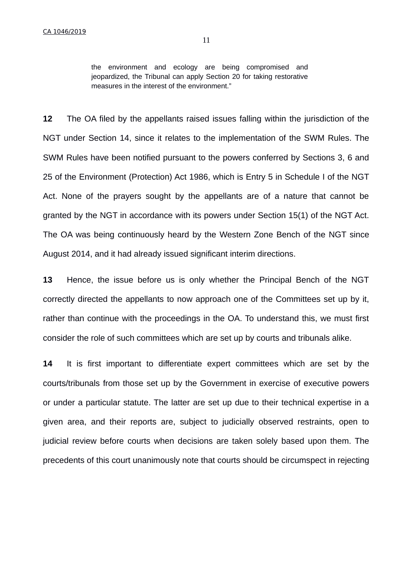the environment and ecology are being compromised and jeopardized, the Tribunal can apply Section 20 for taking restorative measures in the interest of the environment."

**12** The OA filed by the appellants raised issues falling within the jurisdiction of the NGT under Section 14, since it relates to the implementation of the SWM Rules. The SWM Rules have been notified pursuant to the powers conferred by Sections 3, 6 and 25 of the Environment (Protection) Act 1986, which is Entry 5 in Schedule I of the NGT Act. None of the prayers sought by the appellants are of a nature that cannot be granted by the NGT in accordance with its powers under Section 15(1) of the NGT Act. The OA was being continuously heard by the Western Zone Bench of the NGT since August 2014, and it had already issued significant interim directions.

**13** Hence, the issue before us is only whether the Principal Bench of the NGT correctly directed the appellants to now approach one of the Committees set up by it, rather than continue with the proceedings in the OA. To understand this, we must first consider the role of such committees which are set up by courts and tribunals alike.

**14** It is first important to differentiate expert committees which are set by the courts/tribunals from those set up by the Government in exercise of executive powers or under a particular statute. The latter are set up due to their technical expertise in a given area, and their reports are, subject to judicially observed restraints, open to judicial review before courts when decisions are taken solely based upon them. The precedents of this court unanimously note that courts should be circumspect in rejecting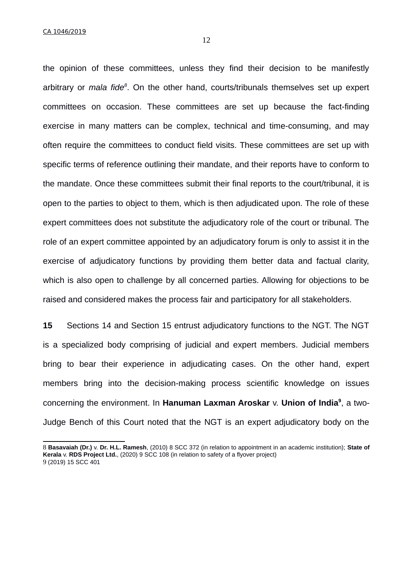CA 1046/2019

the opinion of these committees, unless they find their decision to be manifestly arbitrary or *mala fide[8](#page-11-0)* . On the other hand, courts/tribunals themselves set up expert committees on occasion. These committees are set up because the fact-finding exercise in many matters can be complex, technical and time-consuming, and may often require the committees to conduct field visits. These committees are set up with specific terms of reference outlining their mandate, and their reports have to conform to the mandate. Once these committees submit their final reports to the court/tribunal, it is open to the parties to object to them, which is then adjudicated upon. The role of these expert committees does not substitute the adjudicatory role of the court or tribunal. The role of an expert committee appointed by an adjudicatory forum is only to assist it in the exercise of adjudicatory functions by providing them better data and factual clarity, which is also open to challenge by all concerned parties. Allowing for objections to be raised and considered makes the process fair and participatory for all stakeholders.

**15** Sections 14 and Section 15 entrust adjudicatory functions to the NGT. The NGT is a specialized body comprising of judicial and expert members. Judicial members bring to bear their experience in adjudicating cases. On the other hand, expert members bring into the decision-making process scientific knowledge on issues concerning the environment. In **Hanuman Laxman Aroskar** v. **Union of India[9](#page-11-1)** , a two-Judge Bench of this Court noted that the NGT is an expert adjudicatory body on the

<span id="page-11-1"></span><span id="page-11-0"></span><sup>8</sup> **Basavaiah (Dr.)** v. **Dr. H.L. Ramesh**, (2010) 8 SCC 372 (in relation to appointment in an academic institution); **State of Kerala** v. **RDS Project Ltd.**, (2020) 9 SCC 108 (in relation to safety of a flyover project) 9 (2019) 15 SCC 401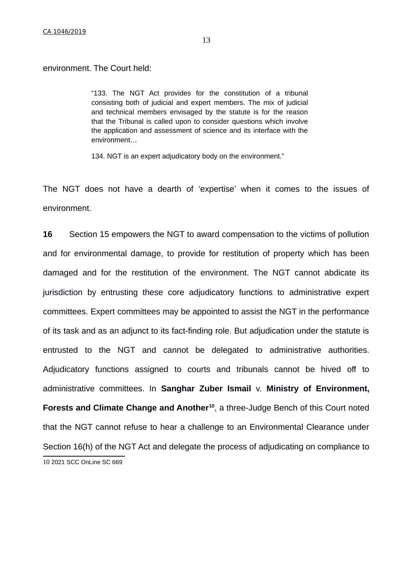environment. The Court held:

"133. The NGT Act provides for the constitution of a tribunal consisting both of judicial and expert members. The mix of judicial and technical members envisaged by the statute is for the reason that the Tribunal is called upon to consider questions which involve the application and assessment of science and its interface with the environment…

134. NGT is an expert adjudicatory body on the environment."

The NGT does not have a dearth of 'expertise' when it comes to the issues of environment.

<span id="page-12-0"></span>**16** Section 15 empowers the NGT to award compensation to the victims of pollution and for environmental damage, to provide for restitution of property which has been damaged and for the restitution of the environment. The NGT cannot abdicate its jurisdiction by entrusting these core adjudicatory functions to administrative expert committees. Expert committees may be appointed to assist the NGT in the performance of its task and as an adjunct to its fact-finding role. But adjudication under the statute is entrusted to the NGT and cannot be delegated to administrative authorities. Adjudicatory functions assigned to courts and tribunals cannot be hived off to administrative committees. In **Sanghar Zuber Ismail** v. **Ministry of Environment, Forests and Climate Change and Another[10](#page-12-0)**, a three-Judge Bench of this Court noted that the NGT cannot refuse to hear a challenge to an Environmental Clearance under Section 16(h) of the NGT Act and delegate the process of adjudicating on compliance to 10 2021 SCC OnLine SC 669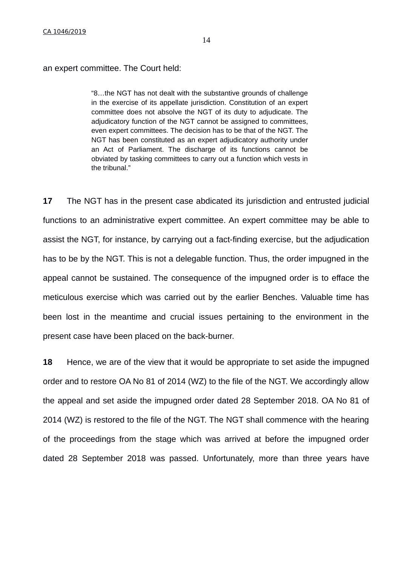an expert committee. The Court held:

"8…the NGT has not dealt with the substantive grounds of challenge in the exercise of its appellate jurisdiction. Constitution of an expert committee does not absolve the NGT of its duty to adjudicate. The adjudicatory function of the NGT cannot be assigned to committees, even expert committees. The decision has to be that of the NGT. The NGT has been constituted as an expert adjudicatory authority under an Act of Parliament. The discharge of its functions cannot be obviated by tasking committees to carry out a function which vests in the tribunal."

**17** The NGT has in the present case abdicated its jurisdiction and entrusted judicial functions to an administrative expert committee. An expert committee may be able to assist the NGT, for instance, by carrying out a fact-finding exercise, but the adjudication has to be by the NGT. This is not a delegable function. Thus, the order impugned in the appeal cannot be sustained. The consequence of the impugned order is to efface the meticulous exercise which was carried out by the earlier Benches. Valuable time has been lost in the meantime and crucial issues pertaining to the environment in the present case have been placed on the back-burner.

**18** Hence, we are of the view that it would be appropriate to set aside the impugned order and to restore OA No 81 of 2014 (WZ) to the file of the NGT. We accordingly allow the appeal and set aside the impugned order dated 28 September 2018. OA No 81 of 2014 (WZ) is restored to the file of the NGT. The NGT shall commence with the hearing of the proceedings from the stage which was arrived at before the impugned order dated 28 September 2018 was passed. Unfortunately, more than three years have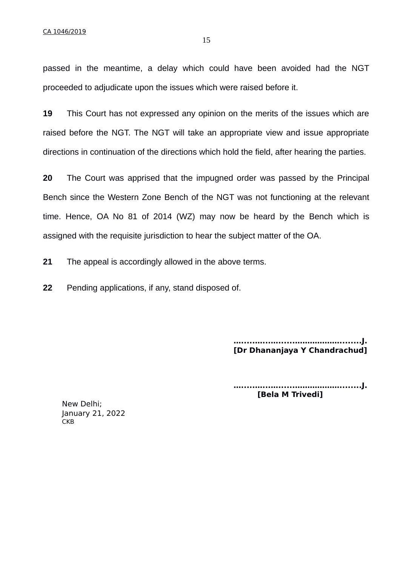passed in the meantime, a delay which could have been avoided had the NGT proceeded to adjudicate upon the issues which were raised before it.

**19** This Court has not expressed any opinion on the merits of the issues which are raised before the NGT. The NGT will take an appropriate view and issue appropriate directions in continuation of the directions which hold the field, after hearing the parties.

**20** The Court was apprised that the impugned order was passed by the Principal Bench since the Western Zone Bench of the NGT was not functioning at the relevant time. Hence, OA No 81 of 2014 (WZ) may now be heard by the Bench which is assigned with the requisite jurisdiction to hear the subject matter of the OA.

**21** The appeal is accordingly allowed in the above terms.

**22** Pending applications, if any, stand disposed of.

**….....…...…......………………........J. [Dr Dhananjaya Y Chandrachud]**

**….....…...…......………………........J. [Bela M Trivedi]**

New Delhi; January 21, 2022 **CKB**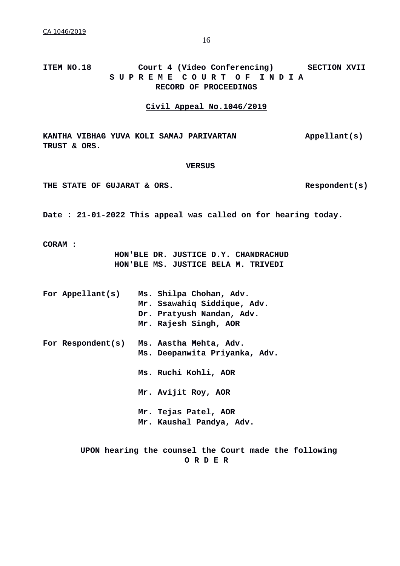### **ITEM NO.18 Court 4 (Video Conferencing) SECTION XVII S U P R E M E C O U R T O F I N D I A RECORD OF PROCEEDINGS**

#### **Civil Appeal No.1046/2019**

**KANTHA VIBHAG YUVA KOLI SAMAJ PARIVARTAN Appellant(s) TRUST & ORS.** 

#### **VERSUS**

THE STATE OF GUJARAT & ORS. Respondent(s)

**Date : 21-01-2022 This appeal was called on for hearing today.**

**CORAM :**

**HON'BLE DR. JUSTICE D.Y. CHANDRACHUD HON'BLE MS. JUSTICE BELA M. TRIVEDI**

|  | For Appellant(s)  | Ms. Shilpa Chohan, Adv.<br>Mr. Ssawahiq Siddique, Adv.<br>Dr. Pratyush Nandan, Adv.<br>Mr. Rajesh Singh, AOR |
|--|-------------------|--------------------------------------------------------------------------------------------------------------|
|  | For Respondent(s) | Ms. Aastha Mehta, Adv.<br>Ms. Deepanwita Priyanka, Adv.                                                      |
|  |                   | Ms. Ruchi Kohli, AOR                                                                                         |
|  |                   | Mr. Avijit Roy, AOR                                                                                          |
|  |                   | Mr. Tejas Patel, AOR<br>Mr. Kaushal Pandya, Adv.                                                             |

 **UPON hearing the counsel the Court made the following O R D E R**